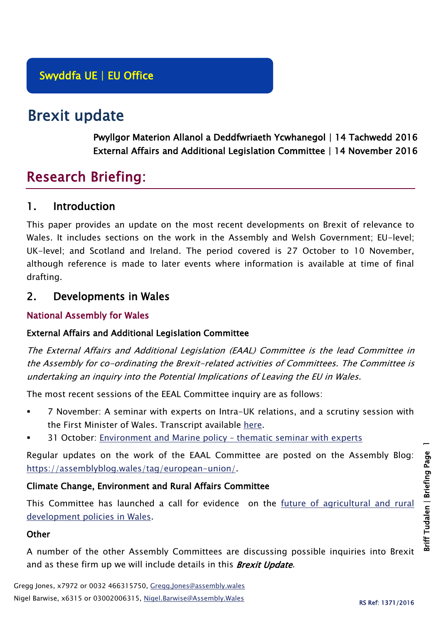# Brexit update

Pwyllgor Materion Allanol a Deddfwriaeth Ycwhanegol | 14 Tachwedd 2016 External Affairs and Additional Legislation Committee | 14 November 2016

# Research Briefing:

## 1. Introduction

This paper provides an update on the most recent developments on Brexit of relevance to Wales. It includes sections on the work in the Assembly and Welsh Government; EU-level; UK-level; and Scotland and Ireland. The period covered is 27 October to 10 November, although reference is made to later events where information is available at time of final drafting.

## 2. Developments in Wales

#### National Assembly for Wales

#### External Affairs and Additional Legislation Committee

The External Affairs and Additional Legislation (EAAL) Committee is the lead Committee in the Assembly for co-ordinating the Brexit-related activities of Committees. The Committee is undertaking an inquiry into the Potential Implications of Leaving the EU in Wales.

The most recent sessions of the EEAL Committee inquiry are as follows:

- 7 November: A seminar with experts on Intra-UK relations, and a scrutiny session with the First Minister of Wales. Transcript available [here.](http://www.senedd.assembly.wales/mgIssueHistoryHome.aspx?IId=15161)
- 31 October: [Environment and Marine policy](http://www.senedd.assembly.wales/documents/s55521/31%20October%202016.pdf)  thematic seminar with experts

Regular updates on the work of the EAAL Committee are posted on the Assembly Blog: [https://assemblyblog.wales/tag/european-union/.](https://assemblyblog.wales/tag/european-union/)

#### Climate Change, Environment and Rural Affairs Committee

This Committee has launched a call for evidence on the [future of agricultural and rural](http://www.senedd.assembly.wales/mgIssueHistoryHome.aspx?IId=15876)  [development policies in Wales.](http://www.senedd.assembly.wales/mgIssueHistoryHome.aspx?IId=15876)

#### **Other**

A number of the other Assembly Committees are discussing possible inquiries into Brexit and as these firm up we will include details in this **Brexit Update**.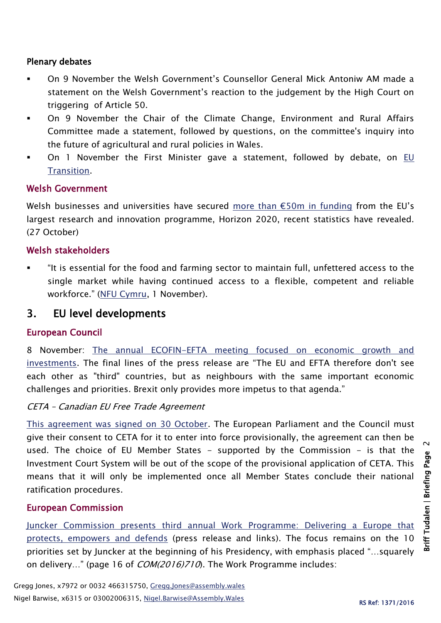#### Plenary debates

- On 9 November the Welsh Government's Counsellor General Mick Antoniw AM made a statement on the Welsh Government's reaction to the judgement by the High Court on triggering of Article 50.
- On 9 November the Chair of the Climate Change, Environment and Rural Affairs Committee made a statement, followed by questions, on the committee's inquiry into the future of agricultural and rural policies in Wales.
- On 1 November the First Minister gave a statement, followed by debate, on [EU](http://www.assembly.wales/en/bus-home/pages/rop.aspx?meetingid=4000&assembly=5&c=Record%20of%20Proceedings#433668)  [Transition.](http://www.assembly.wales/en/bus-home/pages/rop.aspx?meetingid=4000&assembly=5&c=Record%20of%20Proceedings#433668)

#### Welsh Government

Welsh businesses and universities have secured [more than €50m in funding](http://gov.wales/newsroom/finance1/2016/58693959/?lang=en) from the EU's largest research and innovation programme, Horizon 2020, recent statistics have revealed. (27 October)

#### Welsh stakeholders

 "It is essential for the food and farming sector to maintain full, unfettered access to the single market while having continued access to a flexible, competent and reliable workforce." [\(NFU Cymru,](https://www.nfu-cymru.org.uk/news/latest-news/uk-farming-unions-and-processors-unite/) 1 November).

### 3. EU level developments

#### European Council

8 November: [The annual ECOFIN-EFTA meeting focused on economic growth and](http://www.consilium.europa.eu/en/press/press-releases/2016/11/08-ecofin-efta-mtg/)  [investments](http://www.consilium.europa.eu/en/press/press-releases/2016/11/08-ecofin-efta-mtg/). The final lines of the press release are "The EU and EFTA therefore don't see each other as "third" countries, but as neighbours with the same important economic challenges and priorities. Brexit only provides more impetus to that agenda."

#### CETA – Canadian EU Free Trade Agreement

[This agreement was signed on 30 October.](http://europa.eu/rapid/press-release_IP-16-3581_en.htm) The European Parliament and the Council must give their consent to CETA for it to enter into force provisionally, the agreement can then be used. The choice of EU Member States - supported by the Commission - is that the Investment Court System will be out of the scope of the provisional application of CETA. This means that it will only be implemented once all Member States conclude their national ratification procedures.

#### European Commission

Juncker Commission [presents third annual Work Programme: Delivering a Europe that](http://europa.eu/rapid/press-release_IP-16-3500_en.htm)  [protects, empowers and defends](http://europa.eu/rapid/press-release_IP-16-3500_en.htm) (press release and links). The focus remains on the 10 priorities set by Juncker at the beginning of his Presidency, with emphasis placed "…squarely on delivery..." (page 16 of *COM(2016)710*). The Work Programme includes:

 $\sim$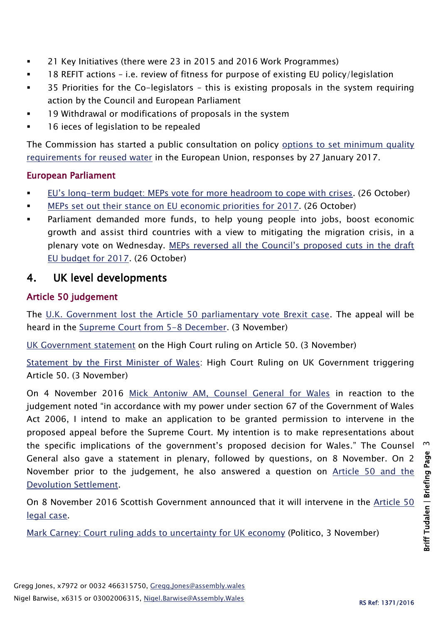- 21 Key Initiatives (there were 23 in 2015 and 2016 Work Programmes)
- 18 REFIT actions i.e. review of fitness for purpose of existing EU policy/legislation
- 35 Priorities for the Co-legislators this is existing proposals in the system requiring action by the Council and European Parliament
- 19 Withdrawal or modifications of proposals in the system
- 16 ieces of legislation to be repealed

The Commission has started a public consultation on policy [options to set minimum quality](http://ec.europa.eu/environment/consultations/reused_water_en.htm)  [requirements for reused water](http://ec.europa.eu/environment/consultations/reused_water_en.htm) in the European Union, responses by 27 January 2017.

#### European Parliament

- EU's long[-term budget: MEPs vote for more headroom to cope with crises.](http://www.europarl.europa.eu/news/en/news-room/20161020IPR47870/eu%E2%80%99s-long-term-budget-meps-vote-for-more-headroom-to-cope-with-crises) (26 October)
- [MEPs set out their stance on EU economic priorities for 2017.](http://www.europarl.europa.eu/news/en/news-room/20161020IPR47886/meps-set-out-their-stance-on-eu-economic-priorities-for-2017) (26 October)
- Parliament demanded more funds, to help young people into jobs, boost economic growth and assist third countries with a view to mitigating the migration crisis, in a plenary vote on Wednesday. [MEPs reversed all the Council's proposed cuts in the draft](http://www.europarl.europa.eu/news/en/news-room/20161020IPR47865/More-funds-needed-for-youth-and-jobs-in-2017-to-honour-EU%E2%80%99s-pledges-say-MEPs)  [EU budget for 2017.](http://www.europarl.europa.eu/news/en/news-room/20161020IPR47865/More-funds-needed-for-youth-and-jobs-in-2017-to-honour-EU%E2%80%99s-pledges-say-MEPs) (26 October)

## 4. UK level developments

#### Article 50 judgement

The [U.K. Government lost the Article 50 parliamentary vote Brexit case.](https://www.judiciary.gov.uk/judgments/r-miller-v-secretary-of-state-for-exiting-the-european-union/) The appeal will be heard in the [Supreme Court from 5-8 December.](http://www.bloomberg.com/news/articles/2016-11-03/u-k-government-loses-brexit-lawsuit-over-article-50-vote-iv26x025) (3 November)

[UK Government statement](https://www.gov.uk/government/news/high-court-ruling-on-article-50-statement) on the High Court ruling on Article 50. (3 November)

[Statement by the First Minister of Wales:](http://gov.wales/newsroom/firstminister/2016/161103article50/?lang=en) High Court Ruling on UK Government triggering Article 50. (3 November)

On 4 November 2016 [Mick Antoniw AM, Counsel General for Wales](http://gov.wales/newsroom/firstminister/2016/161104supremecourt/?lang=en) in reaction to the judgement noted "in accordance with my power under section 67 of the Government of Wales Act 2006, I intend to make an application to be granted permission to intervene in the proposed appeal before the Supreme Court. My intention is to make representations about the specific implications of the government's proposed decision for Wales." The Counsel General also gave a statement in plenary, followed by questions, on 8 November. On 2 November prior to the judgement, he also answered a question on [Article 50 and the](http://www.assembly.wales/en/bus-home/pages/rop.aspx?meetingid=4001&assembly=5&c=Record%20of%20Proceedings#434291)  [Devolution Settlement.](http://www.assembly.wales/en/bus-home/pages/rop.aspx?meetingid=4001&assembly=5&c=Record%20of%20Proceedings#434291)

On 8 November 2016 Scottish Government announced that it will intervene in the [Article 50](http://news.gov.scot/news/scottish-government-will-intervene-in-article-50-legal-case)  [legal case.](http://news.gov.scot/news/scottish-government-will-intervene-in-article-50-legal-case)

[Mark Carney: Court ruling adds to uncertainty for UK economy](http://www.politico.eu/article/mark-carney-court-ruling-adds-to-uncertainty-for-uk-economy/) (Politico, 3 November)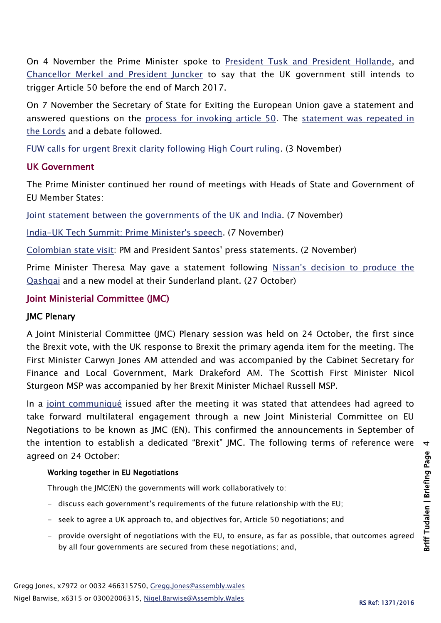On 4 November the Prime Minister spoke to [President Tusk and President Hollande,](https://www.gov.uk/government/news/pm-calls-with-president-tusk-and-president-hollande-4-november-2016) and [Chancellor Merkel and President Juncker](https://www.gov.uk/government/news/pm-calls-with-chancellor-merkel-and-president-juncker-4-november-2016) to say that the UK government still intends to trigger Article 50 before the end of March 2017.

On 7 November the Secretary of State for Exiting the European Union gave a statement and answered questions on the [process for invoking article 50.](https://hansard.parliament.uk/commons/2016-11-07/debates/C59A3B55-6FB3-455D-B704-F8B1BF5A5AF5/Article50) The [statement was repeated in](https://hansard.parliament.uk/Lords/2016-11-07/debates/93243105-18AA-4F9B-BFE7-4F1D97405A2F/BrexitArticle50)  [the Lords](https://hansard.parliament.uk/Lords/2016-11-07/debates/93243105-18AA-4F9B-BFE7-4F1D97405A2F/BrexitArticle50) and a debate followed.

[FUW calls for urgent Brexit clarity following High Court ruling.](http://fuw.org.uk/fuw-calls-for-urgent-brexit-clarity-following-high-court-ruling/) (3 November)

#### UK Government

The Prime Minister continued her round of meetings with Heads of State and Government of EU Member States:

[Joint statement between the governments of the UK and India.](https://www.gov.uk/government/news/joint-statement-between-the-governments-of-the-uk-and-india) (7 November)

[India-UK Tech Summit: Prime Minister's speech.](https://www.gov.uk/government/speeches/india-uk-tech-summit-prime-ministers-speech) (7 November)

[Colombian state visit:](https://www.gov.uk/government/speeches/president-of-colombia-state-visit-prime-ministers-press-statement) PM and President Santos' press statements. (2 November)

Prime Minister Theresa May gave a statement following [Nissan's decision to produce the](https://www.gov.uk/government/news/pm-statement-on-nissan-sunderland-plant-announcement)  [Qashqai](https://www.gov.uk/government/news/pm-statement-on-nissan-sunderland-plant-announcement) and a new model at their Sunderland plant. (27 October)

#### Joint Ministerial Committee (JMC)

#### JMC Plenary

A Joint Ministerial Committee (JMC) Plenary session was held on 24 October, the first since the Brexit vote, with the UK response to Brexit the primary agenda item for the meeting. The First Minister Carwyn Jones AM attended and was accompanied by the Cabinet Secretary for Finance and Local Government, Mark Drakeford AM. The Scottish First Minister Nicol Sturgeon MSP was accompanied by her Brexit Minister Michael Russell MSP.

In a [joint communiqué](https://www.gov.uk/government/uploads/system/uploads/attachment_data/file/562364/joint-ministerial-committee-communique-24-october-2016.pdf) issued after the meeting it was stated that attendees had agreed to take forward multilateral engagement through a new Joint Ministerial Committee on EU Negotiations to be known as JMC (EN). This confirmed the announcements in September of the intention to establish a dedicated "Brexit" JMC. The following terms of reference were agreed on 24 October:

#### Working together in EU Negotiations

Through the JMC(EN) the governments will work collaboratively to:

- discuss each government's requirements of the future relationship with the EU;
- seek to agree a UK approach to, and objectives for, Article 50 negotiations; and
- provide oversight of negotiations with the EU, to ensure, as far as possible, that outcomes agreed by all four governments are secured from these negotiations; and,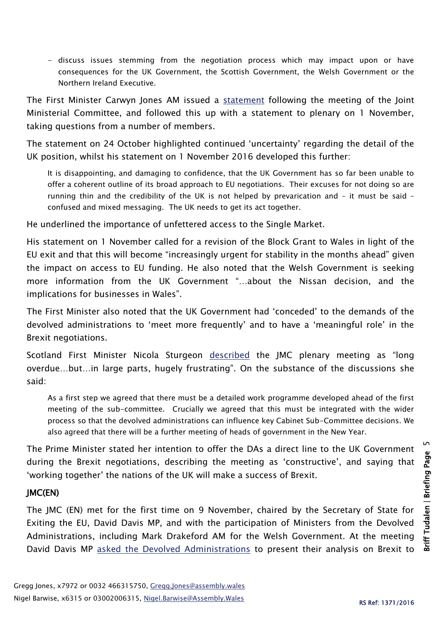- discuss issues stemming from the negotiation process which may impact upon or have consequences for the UK Government, the Scottish Government, the Welsh Government or the Northern Ireland Executive.

The First Minister Carwyn Jones AM issued a [statement](http://gov.wales/newsroom/firstminister/2016/161024jmc/?lang=en) following the meeting of the Joint Ministerial Committee, and followed this up with a statement to plenary on 1 November, taking questions from a number of members.

The statement on 24 October highlighted continued 'uncertainty' regarding the detail of the UK position, whilst his statement on 1 November 2016 developed this further:

It is disappointing, and damaging to confidence, that the UK Government has so far been unable to offer a coherent outline of its broad approach to EU negotiations. Their excuses for not doing so are running thin and the credibility of the UK is not helped by prevarication and – it must be said – confused and mixed messaging. The UK needs to get its act together.

He underlined the importance of unfettered access to the Single Market.

His statement on 1 November called for a revision of the Block Grant to Wales in light of the EU exit and that this will become "increasingly urgent for stability in the months ahead" given the impact on access to EU funding. He also noted that the Welsh Government is seeking more information from the UK Government "…about the Nissan decision, and the implications for businesses in Wales".

The First Minister also noted that the UK Government had 'conceded' to the demands of the devolved administrations to 'meet more frequently' and to have a 'meaningful role' in the Brexit negotiations.

Scotland First Minister Nicola Sturgeon [described](https://firstminister.gov.scot/joint-ministerial-committee-on-eu-referendum/) the JMC plenary meeting as "long overdue…but…in large parts, hugely frustrating". On the substance of the discussions she said:

As a first step we agreed that there must be a detailed work programme developed ahead of the first meeting of the sub-committee. Crucially we agreed that this must be integrated with the wider process so that the devolved administrations can influence key Cabinet Sub-Committee decisions. We also agreed that there will be a further meeting of heads of government in the New Year.

The Prime Minister stated her intention to offer the DAs a direct line to the UK Government during the Brexit negotiations, describing the meeting as 'constructive', and saying that 'working together' the nations of the UK will make a success of Brexit.

#### JMC(EN)

The JMC (EN) met for the first time on 9 November, chaired by the Secretary of State for Exiting the EU, David Davis MP, and with the participation of Ministers from the Devolved Administrations, including Mark Drakeford AM for the Welsh Government. At the meeting David Davis MP [asked the Devolved Administrations](http://www.bbc.co.uk/news/uk-wales-politics-37915181) to present their analysis on Brexit to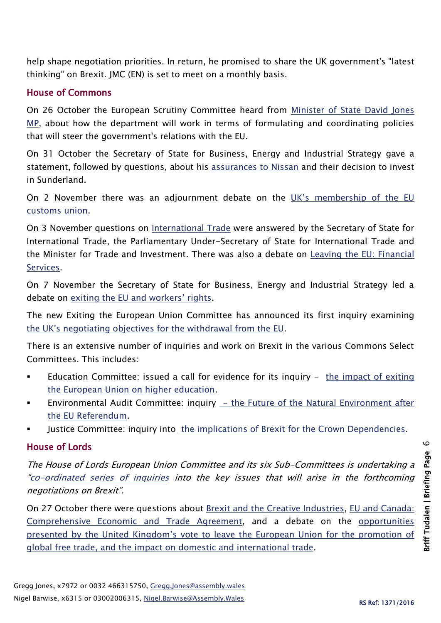help shape negotiation priorities. In return, he promised to share the UK government's "latest thinking" on Brexit. JMC (EN) is set to meet on a monthly basis.

#### House of Commons

On 26 October the European Scrutiny Committee heard from [Minister of State David Jones](http://www.parliament.uk/business/committees/committees-a-z/commons-select/european-scrutiny-committee/news-parliament-20151/eu-brexit-relations-evidence-16-17/)  [MP,](http://www.parliament.uk/business/committees/committees-a-z/commons-select/european-scrutiny-committee/news-parliament-20151/eu-brexit-relations-evidence-16-17/) about how the department will work in terms of formulating and coordinating policies that will steer the government's relations with the EU.

On 31 October the Secretary of State for Business, Energy and Industrial Strategy gave a statement, followed by questions, about his [assurances to Nissan](https://hansard.parliament.uk/commons/2016-10-31/debates/3BAC6B0F-E41B-431D-8062-C42D89C9ADA8/NissanSunderland) and their decision to invest in Sunderland.

On 2 November there was an adjournment debate on the UK's membership of the EU [customs union.](https://hansard.parliament.uk/commons/2016-11-02/debates/29D6662C-20E7-48CA-B3DD-6D80FC530932/EUCustomsUnion)

On 3 November questions on [International Trade](https://hansard.parliament.uk/commons/2016-11-03) were answered by the Secretary of State for International Trade, the Parliamentary Under-Secretary of State for International Trade and the Minister for Trade and Investment. There was also a debate on [Leaving the EU: Financial](https://hansard.parliament.uk/commons/2016-11-03/debates/3B8D89BB-12C1-43E0-8534-900D547F9ECD/LeavingTheEUFinancialServices)  [Services.](https://hansard.parliament.uk/commons/2016-11-03/debates/3B8D89BB-12C1-43E0-8534-900D547F9ECD/LeavingTheEUFinancialServices)

On 7 November the Secretary of State for Business, Energy and Industrial Strategy led a debate on [exiting the EU and workers' rights](https://hansard.parliament.uk/commons/2016-11-07/debates/605BEFA9-1A9E-443E-A746-BBCC40758D18/ExitingTheEUAndWorkers%E2%80%99Rights).

The new Exiting the European Union Committee has announced its first inquiry examining [the UK's negotiating objectives for the withdrawal from the EU.](http://www.parliament.uk/business/committees/committees-a-z/commons-select/exiting-the-european-union-committee/news-parliament-2015/negotiating-objects-for-eu-withdrawal-launch-16-17/)

There is an extensive number of inquiries and work on Brexit in the various Commons Select Committees. This includes:

- Education Committee: issued a call for evidence for its inquiry  $-$  the impact of exiting [the European Union on higher education.](http://www.parliament.uk/business/committees/committees-a-z/commons-select/education-committee/inquiries/parliament-2015/brexit-impact-higher-education-16-17/)
- Environmental Audit Committee: inquiry  $-$  the Future of the Natural Environment after [the EU Referendum.](http://www.parliament.uk/business/committees/committees-a-z/commons-select/environmental-audit-committee/inquiries/parliament-2015/future-of-the-natural-environment-after-the-eu-referendum-16-17/)
- Justice Committee: inquiry into the [implications of Brexit for the Crown Dependencies.](http://www.parliament.uk/business/committees/committees-a-z/commons-select/justice-committee/inquiries/parliament-2015/implications-of-brexit-for-the-crown-dependencies-16-17/)

## House of Lords

The House of Lords European Union Committee and its six Sub-Committees is undertaking a "[co-ordinated series of inquiries](http://www.parliament.uk/business/committees/committees-a-z/lords-select/eu-select-committee-/news-parliament-2015/co-ordinated-inquries-launch/) into the key issues that will arise in the forthcoming negotiations on Brexit".

On 27 October there were questions about [Brexit and the Creative Industries,](https://hansard.parliament.uk/Lords/2016-10-27/debates/FB242047-BA8C-416D-8216-AA8DDBFAEE10/BrexitCreativeIndustries) EU [and Canada:](https://hansard.parliament.uk/Lords/2016-10-27/debates/7461E093-4734-447C-8CBA-DC66CCE368EF/EuropeanUnionAndCanadaComprehensiveEconomicAndTradeAgreement)  [Comprehensive Economic and Trade Agreement,](https://hansard.parliament.uk/Lords/2016-10-27/debates/7461E093-4734-447C-8CBA-DC66CCE368EF/EuropeanUnionAndCanadaComprehensiveEconomicAndTradeAgreement) and a debate on the [opportunities](https://hansard.parliament.uk/Lords/2016-10-27/debates/5EB74FBE-1271-4B01-A79E-354ABD62C6F2/BrexitDomesticAndInternational)  [presented by the United Kingdom's vote to leave the European Union for the promotion of](https://hansard.parliament.uk/Lords/2016-10-27/debates/5EB74FBE-1271-4B01-A79E-354ABD62C6F2/BrexitDomesticAndInternational)  [global free trade, and the impact on domestic and international trade.](https://hansard.parliament.uk/Lords/2016-10-27/debates/5EB74FBE-1271-4B01-A79E-354ABD62C6F2/BrexitDomesticAndInternational)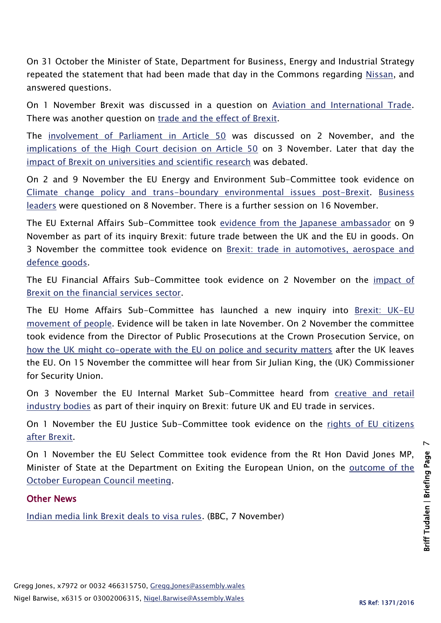On 31 October the Minister of State, Department for Business, Energy and Industrial Strategy repeated the statement that had been made that day in the Commons regarding [Nissan,](https://hansard.parliament.uk/Lords/2016-10-31/debates/2C691A6A-FFF4-4361-AE05-D43907FEC275/NissanSunderland) and answered questions.

On 1 November Brexit was discussed in a question on [Aviation and International Trade.](https://hansard.parliament.uk/Lords/2016-11-01/debates/D3EAF1B9-5EB6-40B9-81B7-046CB9F52DE9/AviationInternationalTrade) There was another question on [trade and the effect of Brexit.](https://hansard.parliament.uk/Lords/2016-11-01/debates/61FDA7A3-70D3-467A-AC8C-33B49E098825/BrexitTrade)

The [involvement of Parliament in Article 50](https://hansard.parliament.uk/Lords/2016-11-02/debates/2F7A8D1C-BF3E-4BD0-B715-616F81AC66A8/BrexitArticle50) was discussed on 2 November, and the [implications of the High Court decision on Article 50](https://hansard.parliament.uk/Lords/2016-11-03/debates/E297073E-5611-4F3D-8939-647BC956ECB1/Brexit) on 3 November. Later that day the [impact of Brexit on universities and scientific research](https://hansard.parliament.uk/Lords/2016-11-03/debates/92A8358C-3790-4F39-B33F-650A977CF7CB/BrexitImpactOnUniversitiesAndScientificResearch) was debated.

On 2 and 9 November the EU Energy and Environment Sub-Committee took evidence on [Climate change policy and trans-boundary environmental issues post-Brexit.](http://www.parliament.uk/business/committees/committees-a-z/lords-select/eu-energy-environment-subcommittee/news-parliament-2015/env-transboundary-climate-change/) [Business](http://www.parliament.uk/business/committees/committees-a-z/lords-select/eu-energy-environment-subcommittee/news-parliament-2015/brexit-env-cc-business/)  [leaders](http://www.parliament.uk/business/committees/committees-a-z/lords-select/eu-energy-environment-subcommittee/news-parliament-2015/brexit-env-cc-business/) were questioned on 8 November. There is a further session on 16 November.

The EU External Affairs Sub-Committee took [evidence from the Japanese ambassador](http://www.parliament.uk/business/committees/committees-a-z/lords-select/eu-external-affairs-subcommittee/news-parliament-2015/brexit-japan-future-trade/) on 9 November as part of its inquiry Brexit: future trade between the UK and the EU in goods. On 3 November the committee took evidence on [Brexit: trade in automotives, aerospace and](http://www.parliament.uk/business/committees/committees-a-z/lords-select/eu-external-affairs-subcommittee/news-parliament-2015/brexit-automotive-aerospace-defence/)  [defence goods.](http://www.parliament.uk/business/committees/committees-a-z/lords-select/eu-external-affairs-subcommittee/news-parliament-2015/brexit-automotive-aerospace-defence/)

The EU Financial Affairs Sub-Committee took evidence on 2 November on the [impact of](http://www.parliament.uk/business/committees/committees-a-z/lords-select/eu-financial-affairs-subcommittee/news-parliament-2015/london-stock-ex-ev-session/)  [Brexit on the financial services sector.](http://www.parliament.uk/business/committees/committees-a-z/lords-select/eu-financial-affairs-subcommittee/news-parliament-2015/london-stock-ex-ev-session/)

The EU Home Affairs Sub-Committee has launched a new inquiry into [Brexit: UK-EU](http://www.parliament.uk/business/committees/committees-a-z/lords-select/eu-home-affairs-subcommittee/news-parliament-2015/uk-eu-movement-inquiry-launched/)  [movement of people.](http://www.parliament.uk/business/committees/committees-a-z/lords-select/eu-home-affairs-subcommittee/news-parliament-2015/uk-eu-movement-inquiry-launched/) Evidence will be taken in late November. On 2 November the committee took evidence from the Director of Public Prosecutions at the Crown Prosecution Service, on [how the UK might co-operate with the EU on police and security matters](http://www.parliament.uk/business/committees/committees-a-z/lords-select/eu-home-affairs-subcommittee/news-parliament-2015/cps-head-evidence-session/) after the UK leaves the EU. On 15 November the committee will hear from Sir Julian King, the (UK) Commissioner for Security Union.

On 3 November the EU Internal Market Sub-Committee heard from [creative and retail](http://www.parliament.uk/business/committees/committees-a-z/lords-select/eu-internal-market-subcommittee/news-parliament-2015/creative-retail-industry-evidence-session/)  [industry bodies](http://www.parliament.uk/business/committees/committees-a-z/lords-select/eu-internal-market-subcommittee/news-parliament-2015/creative-retail-industry-evidence-session/) as part of their inquiry on Brexit: future UK and EU trade in services.

On 1 November the EU Justice Sub-Committee took evidence on the rights of EU citizens [after Brexit.](http://www.parliament.uk/business/committees/committees-a-z/lords-select/eu-justice-subcommittee/news-parliament-2015/brexit-acquired-rights-speaight-barnard/)

On 1 November the EU Select Committee took evidence from the Rt Hon David Jones MP, Minister of State at the Department on Exiting the European Union, on the [outcome of the](http://www.parliament.uk/business/committees/committees-a-z/lords-select/eu-select-committee-/news-parliament-2015/dexeu-minister-evidence-session/)  [October European Council meeting.](http://www.parliament.uk/business/committees/committees-a-z/lords-select/eu-select-committee-/news-parliament-2015/dexeu-minister-evidence-session/)

#### Other News

[Indian media link Brexit deals to visa rules.](http://www.bbc.co.uk/news/world-asia-india-37897710?intlink_from_url=http://www.bbc.co.uk/news/live/uk-politics-37894337&link_location=live-reporting-story) (BBC, 7 November)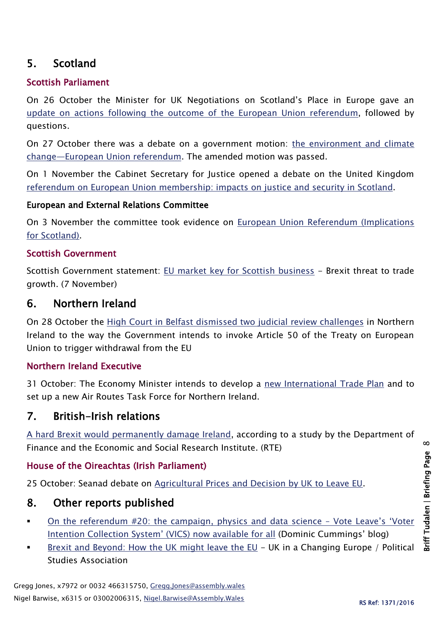## 5. Scotland

## Scottish Parliament

On 26 October the Minister for UK Negotiations on Scotland's Place in Europe gave an [update on actions following the outcome of](http://www.parliament.scot/parliamentarybusiness/report.aspx?r=10580&i=97355) the European Union referendum, followed by questions.

On 27 October there was a debate on a government motion: [the environment and climate](http://www.parliament.scot/parliamentarybusiness/report.aspx?r=10582&i=97390)  change—[European Union referendum.](http://www.parliament.scot/parliamentarybusiness/report.aspx?r=10582&i=97390) The amended motion was passed.

On 1 November the Cabinet Secretary for Justice opened a debate on the United Kingdom [referendum on European Union membership: impacts on justice and security in Scotland.](http://www.parliament.scot/parliamentarybusiness/report.aspx?r=10592&i=97462)

#### European and External Relations Committee

On 3 November the committee took evidence on [European Union Referendum \(Implications](http://www.parliament.scot/parliamentarybusiness/report.aspx?r=10605&i=97552)  [for Scotland\).](http://www.parliament.scot/parliamentarybusiness/report.aspx?r=10605&i=97552)

#### Scottish Government

Scottish Government statement: [EU market key for Scottish business](http://news.gov.scot/news/eu-market-key-for-scottish-business) - Brexit threat to trade growth. (7 November)

## 6. Northern Ireland

On 28 October the [High Court in Belfast dismissed two judicial review challenges](http://www.courtsni.gov.uk/en-GB/Judicial%20Decisions/SummaryJudgments/Documents/Court%20dismisses%20Brexit%20challenge/j_j_Summary%20of%20judgment%20-%20Brexit%20JRs%2028%20Oct%2016.htm) in Northern Ireland to the way the Government intends to invoke Article 50 of the Treaty on European Union to trigger withdrawal from the EU

#### Northern Ireland Executive

31 October: The Economy Minister intends to develop a [new International Trade Plan](https://www.economy-ni.gov.uk/news/hamilton-announces-new-northern-ireland-international-trade-plan) and to set up a new Air Routes Task Force for Northern Ireland.

## 7. British-Irish relations

[A hard Brexit would permanently damage Ireland,](https://www.rte.ie/news/2016/1107/829658-brexit/) according to a study by the Department of Finance and the Economic and Social Research Institute. (RTE)

#### House of the Oireachtas (Irish Parliament)

25 October: Seanad debate on [Agricultural Prices and Decision by UK to Leave EU.](http://oireachtasdebates.oireachtas.ie/debates%20authoring/debateswebpack.nsf/takes/seanad2016102500002?opendocument#DD00800)

## 8. Other reports published

- [On the referendum #20: the campaign, physics and data science](https://dominiccummings.wordpress.com/2016/10/29/on-the-referendum-20-the-campaign-physics-and-data-science-vote-leaves-voter-intention-collection-system-vics-now-available-for-all/)  Vote Leave's 'Voter [Intention Collection System' \(VICS\) now available for all](https://dominiccummings.wordpress.com/2016/10/29/on-the-referendum-20-the-campaign-physics-and-data-science-vote-leaves-voter-intention-collection-system-vics-now-available-for-all/) (Dominic Cummings' blog)
- [Brexit and Beyond: How the UK might leave the EU](http://ukandeu.ac.uk/wp-content/uploads/2016/11/Brexit-and-Beyond-how-the-UK-might-leave-the-EU.pdf) UK in a Changing Europe / Political Studies Association